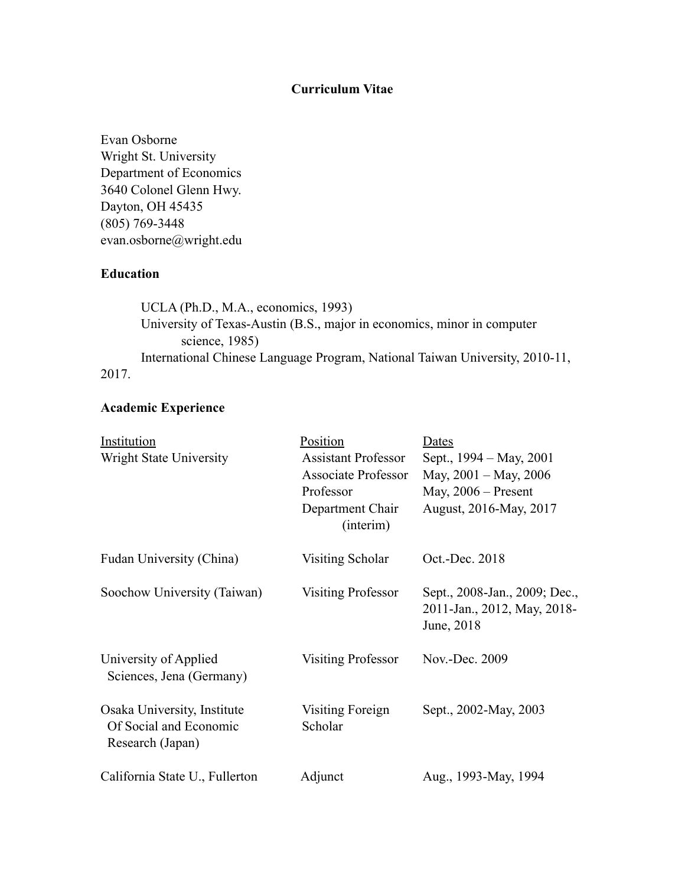# **Curriculum Vitae**

Evan Osborne Wright St. University Department of Economics 3640 Colonel Glenn Hwy. Dayton, OH 45435 (805) 769-3448 evan.osborne@wright.edu

# **Education**

 UCLA (Ph.D., M.A., economics, 1993) University of Texas-Austin (B.S., major in economics, minor in computer science, 1985) International Chinese Language Program, National Taiwan University, 2010-11, 2017.

# **Academic Experience**

| Institution                                                               | Position                      | Dates                                                                      |
|---------------------------------------------------------------------------|-------------------------------|----------------------------------------------------------------------------|
| Wright State University                                                   | <b>Assistant Professor</b>    | Sept., 1994 – May, 2001                                                    |
|                                                                           | <b>Associate Professor</b>    | May, 2001 – May, 2006                                                      |
|                                                                           | Professor                     | May, $2006$ – Present                                                      |
|                                                                           | Department Chair<br>(interim) | August, 2016-May, 2017                                                     |
| Fudan University (China)                                                  | Visiting Scholar              | Oct.-Dec. 2018                                                             |
| Soochow University (Taiwan)                                               | <b>Visiting Professor</b>     | Sept., 2008-Jan., 2009; Dec.,<br>2011-Jan., 2012, May, 2018-<br>June, 2018 |
| University of Applied<br>Sciences, Jena (Germany)                         | <b>Visiting Professor</b>     | Nov.-Dec. 2009                                                             |
| Osaka University, Institute<br>Of Social and Economic<br>Research (Japan) | Visiting Foreign<br>Scholar   | Sept., 2002-May, 2003                                                      |
| California State U., Fullerton                                            | Adjunct                       | Aug., 1993-May, 1994                                                       |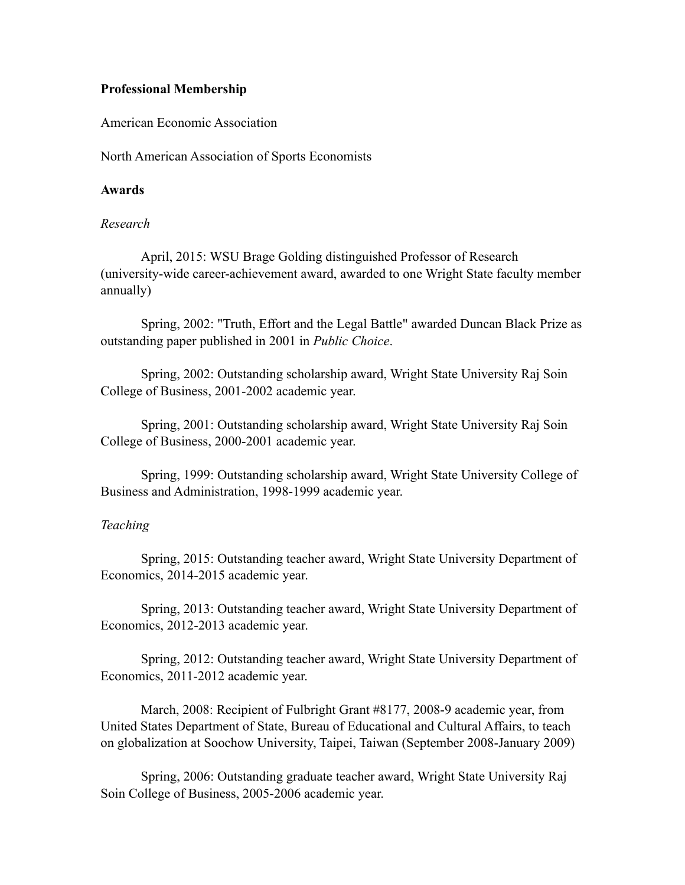# **Professional Membership**

American Economic Association

North American Association of Sports Economists

# **Awards**

# *Research*

April, 2015: WSU Brage Golding distinguished Professor of Research (university-wide career-achievement award, awarded to one Wright State faculty member annually)

Spring, 2002: "Truth, Effort and the Legal Battle" awarded Duncan Black Prize as outstanding paper published in 2001 in *Public Choice*.

Spring, 2002: Outstanding scholarship award, Wright State University Raj Soin College of Business, 2001-2002 academic year.

Spring, 2001: Outstanding scholarship award, Wright State University Raj Soin College of Business, 2000-2001 academic year.

 Spring, 1999: Outstanding scholarship award, Wright State University College of Business and Administration, 1998-1999 academic year.

# *Teaching*

Spring, 2015: Outstanding teacher award, Wright State University Department of Economics, 2014-2015 academic year.

Spring, 2013: Outstanding teacher award, Wright State University Department of Economics, 2012-2013 academic year.

Spring, 2012: Outstanding teacher award, Wright State University Department of Economics, 2011-2012 academic year.

March, 2008: Recipient of Fulbright Grant #8177, 2008-9 academic year, from United States Department of State, Bureau of Educational and Cultural Affairs, to teach on globalization at Soochow University, Taipei, Taiwan (September 2008-January 2009)

Spring, 2006: Outstanding graduate teacher award, Wright State University Raj Soin College of Business, 2005-2006 academic year.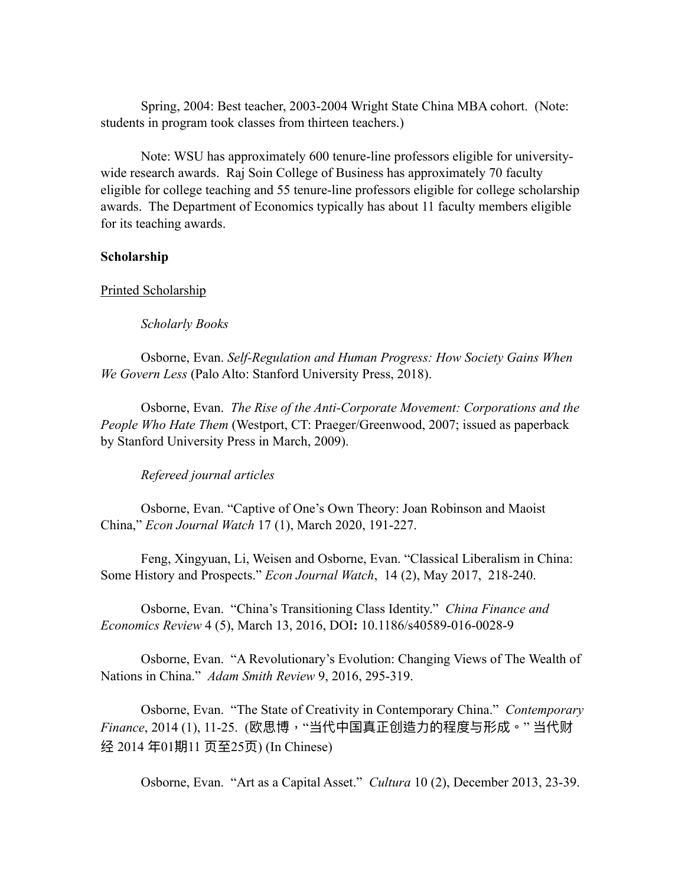Spring, 2004: Best teacher, 2003-2004 Wright State China MBA cohort. (Note: students in program took classes from thirteen teachers.)

Note: WSU has approximately 600 tenure-line professors eligible for universitywide research awards. Raj Soin College of Business has approximately 70 faculty eligible for college teaching and 55 tenure-line professors eligible for college scholarship awards. The Department of Economics typically has about 11 faculty members eligible for its teaching awards.

# **Scholarship**

### Printed Scholarship

*Scholarly Books*

Osborne, Evan. *Self-Regulation and Human Progress: How Society Gains When We Govern Less* (Palo Alto: Stanford University Press, 2018).

Osborne, Evan. *The Rise of the Anti-Corporate Movement: Corporations and the People Who Hate Them* (Westport, CT: Praeger/Greenwood, 2007; issued as paperback by Stanford University Press in March, 2009).

# *Refereed journal articles*

Osborne, Evan. "Captive of One's Own Theory: Joan Robinson and Maoist China," *Econ Journal Watch* 17 (1), March 2020, 191-227.

Feng, Xingyuan, Li, Weisen and Osborne, Evan. "Classical Liberalism in China: Some History and Prospects." *Econ Journal Watch*, 14 (2), May 2017, 218-240.

Osborne, Evan. "China's Transitioning Class Identity." *China Finance and Economics Review* 4 (5), March 13, 2016, DOI**:** 10.1186/s40589-016-0028-9

Osborne, Evan. "A Revolutionary's Evolution: Changing Views of The Wealth of Nations in China." *Adam Smith Review* 9, 2016, 295-319.

Osborne, Evan. "The State of Creativity in Contemporary China." *Contemporary Finance*, 2014 (1), 11-25. (欧思博,"当代中国真正创造⼒的程度与形成。" 当代财 经 2014 年01期11 页至25页) (In Chinese)

Osborne, Evan. "Art as a Capital Asset." *Cultura* 10 (2), December 2013, 23-39.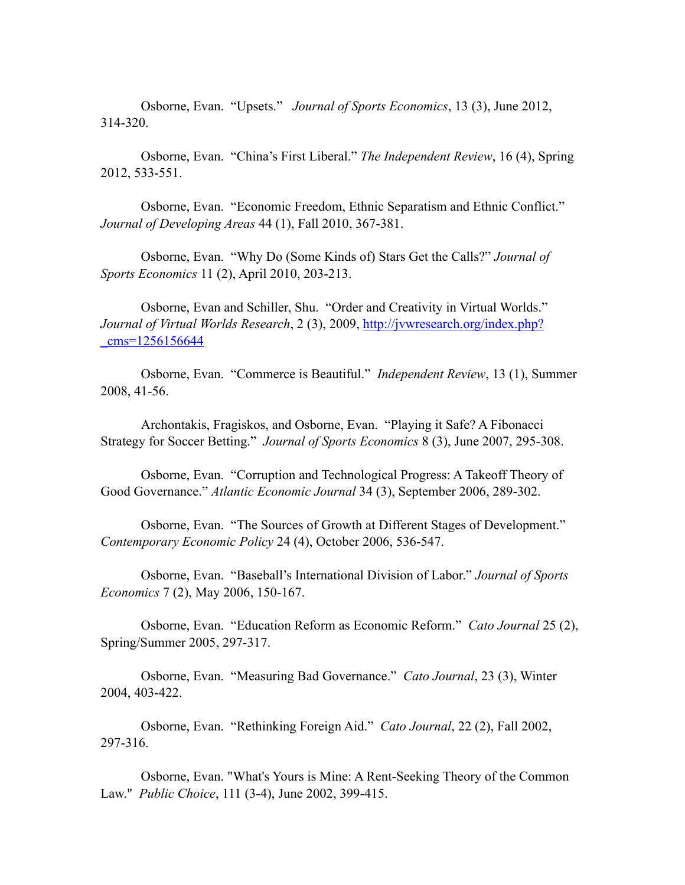Osborne, Evan. "Upsets." *Journal of Sports Economics*, 13 (3), June 2012, 314-320.

Osborne, Evan. "China's First Liberal." *The Independent Review*, 16 (4), Spring 2012, 533-551.

Osborne, Evan. "Economic Freedom, Ethnic Separatism and Ethnic Conflict." *Journal of Developing Areas* 44 (1), Fall 2010, 367-381.

Osborne, Evan. "Why Do (Some Kinds of) Stars Get the Calls?" *Journal of Sports Economics* 11 (2), April 2010, 203-213.

Osborne, Evan and Schiller, Shu. "Order and Creativity in Virtual Worlds." *Journal of Virtual Worlds Research*, 2 (3), 2009, [http://jvwresearch.org/index.php?](http://jvwresearch.org/index.php?_cms=1256156644) [\\_cms=1256156644](http://jvwresearch.org/index.php?_cms=1256156644)

Osborne, Evan. "Commerce is Beautiful." *Independent Review*, 13 (1), Summer 2008, 41-56.

Archontakis, Fragiskos, and Osborne, Evan. "Playing it Safe? A Fibonacci Strategy for Soccer Betting." *Journal of Sports Economics* 8 (3), June 2007, 295-308.

 Osborne, Evan. "Corruption and Technological Progress: A Takeoff Theory of Good Governance." *Atlantic Economic Journal* 34 (3), September 2006, 289-302.

 Osborne, Evan. "The Sources of Growth at Different Stages of Development." *Contemporary Economic Policy* 24 (4), October 2006, 536-547.

Osborne, Evan. "Baseball's International Division of Labor." *Journal of Sports Economics* 7 (2), May 2006, 150-167.

Osborne, Evan. "Education Reform as Economic Reform." *Cato Journal* 25 (2), Spring/Summer 2005, 297-317.

Osborne, Evan. "Measuring Bad Governance." *Cato Journal*, 23 (3), Winter 2004, 403-422.

Osborne, Evan. "Rethinking Foreign Aid." *Cato Journal*, 22 (2), Fall 2002, 297-316.

Osborne, Evan. "What's Yours is Mine: A Rent-Seeking Theory of the Common Law." *Public Choice*, 111 (3-4), June 2002, 399-415.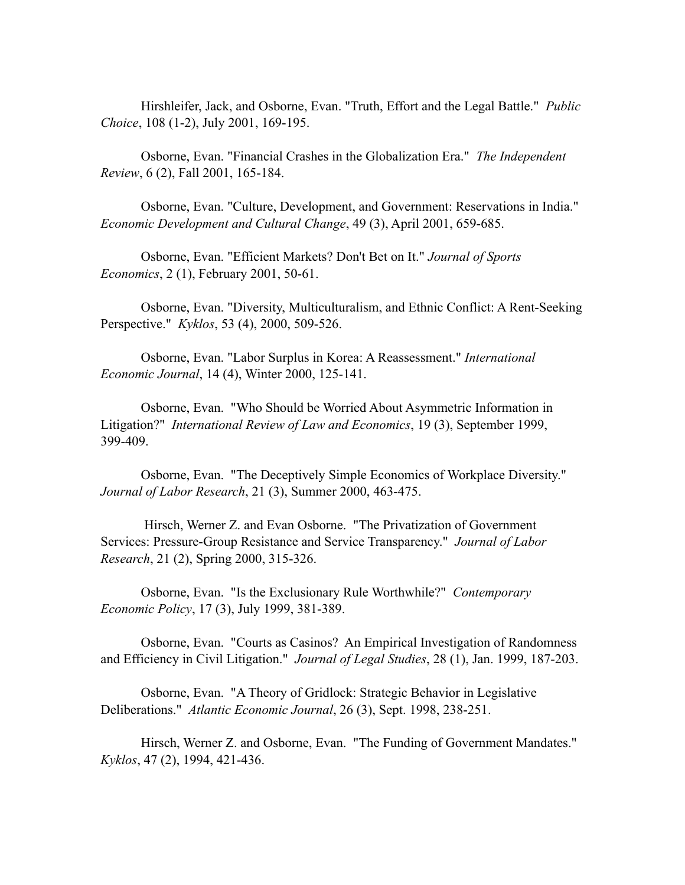Hirshleifer, Jack, and Osborne, Evan. "Truth, Effort and the Legal Battle." *Public Choice*, 108 (1-2), July 2001, 169-195.

 Osborne, Evan. "Financial Crashes in the Globalization Era." *The Independent Review*, 6 (2), Fall 2001, 165-184.

Osborne, Evan. "Culture, Development, and Government: Reservations in India." *Economic Development and Cultural Change*, 49 (3), April 2001, 659-685.

Osborne, Evan. "Efficient Markets? Don't Bet on It." *Journal of Sports Economics*, 2 (1), February 2001, 50-61.

 Osborne, Evan. "Diversity, Multiculturalism, and Ethnic Conflict: A Rent-Seeking Perspective." *Kyklos*, 53 (4), 2000, 509-526.

 Osborne, Evan. "Labor Surplus in Korea: A Reassessment." *International Economic Journal*, 14 (4), Winter 2000, 125-141.

Osborne, Evan. "Who Should be Worried About Asymmetric Information in Litigation?" *International Review of Law and Economics*, 19 (3), September 1999, 399-409.

Osborne, Evan. "The Deceptively Simple Economics of Workplace Diversity." *Journal of Labor Research*, 21 (3), Summer 2000, 463-475.

 Hirsch, Werner Z. and Evan Osborne. "The Privatization of Government Services: Pressure-Group Resistance and Service Transparency." *Journal of Labor Research*, 21 (2), Spring 2000, 315-326.

Osborne, Evan. "Is the Exclusionary Rule Worthwhile?" *Contemporary Economic Policy*, 17 (3), July 1999, 381-389.

Osborne, Evan. "Courts as Casinos? An Empirical Investigation of Randomness and Efficiency in Civil Litigation." *Journal of Legal Studies*, 28 (1), Jan. 1999, 187-203.

 Osborne, Evan. "A Theory of Gridlock: Strategic Behavior in Legislative Deliberations." *Atlantic Economic Journal*, 26 (3), Sept. 1998, 238-251.

Hirsch, Werner Z. and Osborne, Evan. "The Funding of Government Mandates." *Kyklos*, 47 (2), 1994, 421-436.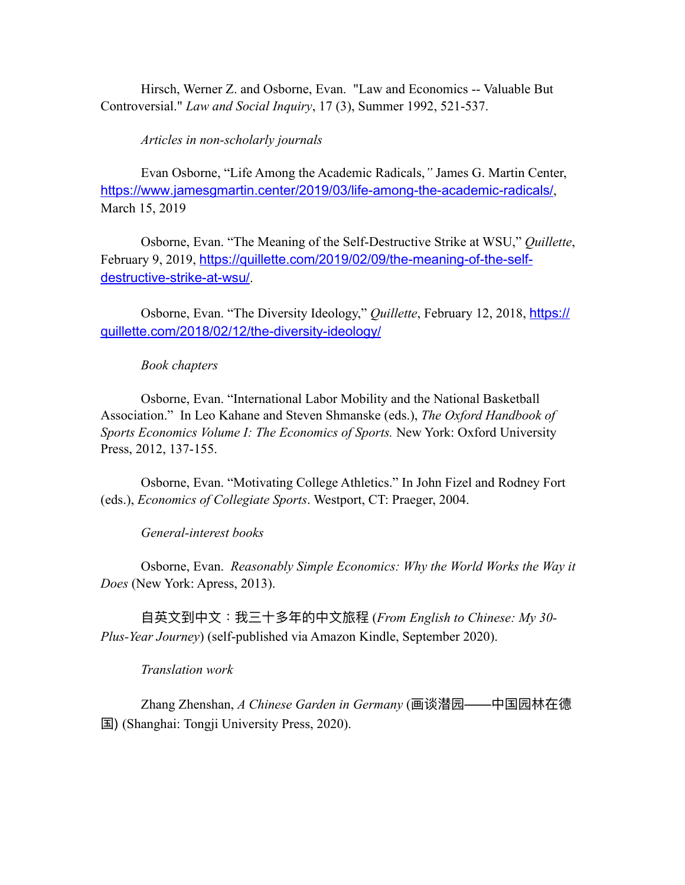Hirsch, Werner Z. and Osborne, Evan. "Law and Economics -- Valuable But Controversial." *Law and Social Inquiry*, 17 (3), Summer 1992, 521-537.

*Articles in non-scholarly journals*

Evan Osborne, "Life Among the Academic Radicals,*"* James G. Martin Center, <https://www.jamesgmartin.center/2019/03/life-among-the-academic-radicals/>, March 15, 2019

Osborne, Evan. "The Meaning of the Self-Destructive Strike at WSU," *Quillette*, February 9, 2019, [https://quillette.com/2019/02/09/the-meaning-of-the-self](https://quillette.com/2019/02/09/the-meaning-of-the-self-destructive-strike-at-wsu/)[destructive-strike-at-wsu/](https://quillette.com/2019/02/09/the-meaning-of-the-self-destructive-strike-at-wsu/).

Osborne, Evan. "The Diversity Ideology," *Quillette*, February 12, 2018, [https://](https://quillette.com/2018/02/12/the-diversity-ideology/) [quillette.com/2018/02/12/the-diversity-ideology/](https://quillette.com/2018/02/12/the-diversity-ideology/)

#### *Book chapters*

 Osborne, Evan. "International Labor Mobility and the National Basketball Association." In Leo Kahane and Steven Shmanske (eds.), *The Oxford Handbook of Sports Economics Volume I: The Economics of Sports.* New York: Oxford University Press, 2012, 137-155.

Osborne, Evan. "Motivating College Athletics." In John Fizel and Rodney Fort (eds.), *Economics of Collegiate Sports*. Westport, CT: Praeger, 2004.

### *General-interest books*

Osborne, Evan. *Reasonably Simple Economics: Why the World Works the Way it Does* (New York: Apress, 2013).

⾃英⽂到中⽂:我三⼗多年的中⽂旅程 (*From English to Chinese: My 30- Plus-Year Journey*) (self-published via Amazon Kindle, September 2020).

#### *Translation work*

Zhang Zhenshan, *A Chinese Garden in Germany* (画谈潜园——中国园林在德 国) (Shanghai: Tongji University Press, 2020).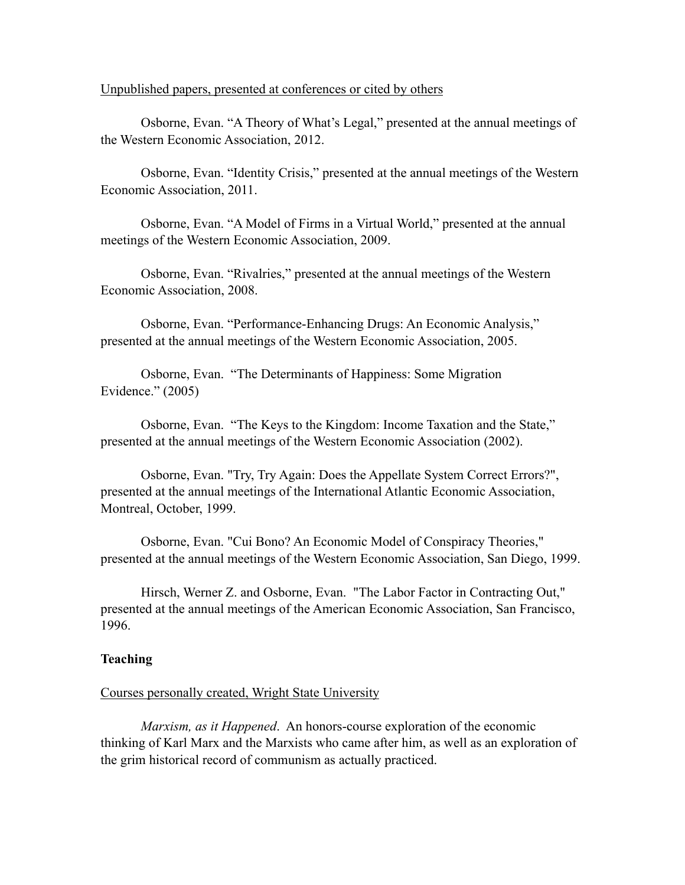#### Unpublished papers, presented at conferences or cited by others

 Osborne, Evan. "A Theory of What's Legal," presented at the annual meetings of the Western Economic Association, 2012.

 Osborne, Evan. "Identity Crisis," presented at the annual meetings of the Western Economic Association, 2011.

Osborne, Evan. "A Model of Firms in a Virtual World," presented at the annual meetings of the Western Economic Association, 2009.

Osborne, Evan. "Rivalries," presented at the annual meetings of the Western Economic Association, 2008.

Osborne, Evan. "Performance-Enhancing Drugs: An Economic Analysis," presented at the annual meetings of the Western Economic Association, 2005.

Osborne, Evan. "The Determinants of Happiness: Some Migration Evidence." (2005)

Osborne, Evan. "The Keys to the Kingdom: Income Taxation and the State," presented at the annual meetings of the Western Economic Association (2002).

 Osborne, Evan. "Try, Try Again: Does the Appellate System Correct Errors?", presented at the annual meetings of the International Atlantic Economic Association, Montreal, October, 1999.

Osborne, Evan. "Cui Bono? An Economic Model of Conspiracy Theories," presented at the annual meetings of the Western Economic Association, San Diego, 1999.

Hirsch, Werner Z. and Osborne, Evan. "The Labor Factor in Contracting Out," presented at the annual meetings of the American Economic Association, San Francisco, 1996.

## **Teaching**

#### Courses personally created, Wright State University

*Marxism, as it Happened*. An honors-course exploration of the economic thinking of Karl Marx and the Marxists who came after him, as well as an exploration of the grim historical record of communism as actually practiced.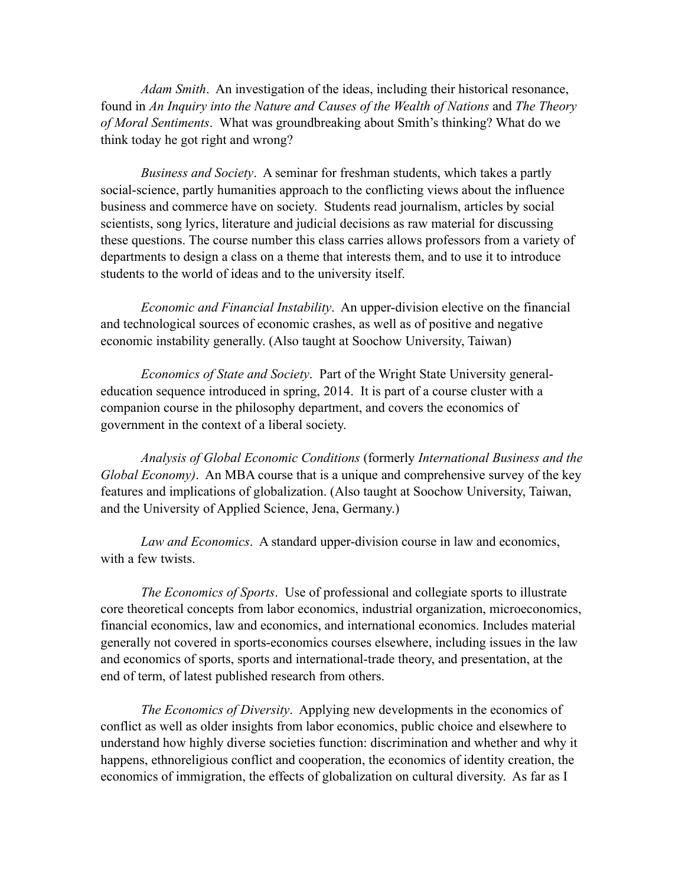*Adam Smith*. An investigation of the ideas, including their historical resonance, found in *An Inquiry into the Nature and Causes of the Wealth of Nations* and *The Theory of Moral Sentiments*. What was groundbreaking about Smith's thinking? What do we think today he got right and wrong?

*Business and Society*. A seminar for freshman students, which takes a partly social-science, partly humanities approach to the conflicting views about the influence business and commerce have on society. Students read journalism, articles by social scientists, song lyrics, literature and judicial decisions as raw material for discussing these questions. The course number this class carries allows professors from a variety of departments to design a class on a theme that interests them, and to use it to introduce students to the world of ideas and to the university itself.

*Economic and Financial Instability*. An upper-division elective on the financial and technological sources of economic crashes, as well as of positive and negative economic instability generally. (Also taught at Soochow University, Taiwan)

*Economics of State and Society*. Part of the Wright State University generaleducation sequence introduced in spring, 2014. It is part of a course cluster with a companion course in the philosophy department, and covers the economics of government in the context of a liberal society.

*Analysis of Global Economic Conditions* (formerly *International Business and the Global Economy)*. An MBA course that is a unique and comprehensive survey of the key features and implications of globalization. (Also taught at Soochow University, Taiwan, and the University of Applied Science, Jena, Germany.)

*Law and Economics*. A standard upper-division course in law and economics, with a few twists.

*The Economics of Sports*. Use of professional and collegiate sports to illustrate core theoretical concepts from labor economics, industrial organization, microeconomics, financial economics, law and economics, and international economics. Includes material generally not covered in sports-economics courses elsewhere, including issues in the law and economics of sports, sports and international-trade theory, and presentation, at the end of term, of latest published research from others.

*The Economics of Diversity*. Applying new developments in the economics of conflict as well as older insights from labor economics, public choice and elsewhere to understand how highly diverse societies function: discrimination and whether and why it happens, ethnoreligious conflict and cooperation, the economics of identity creation, the economics of immigration, the effects of globalization on cultural diversity. As far as I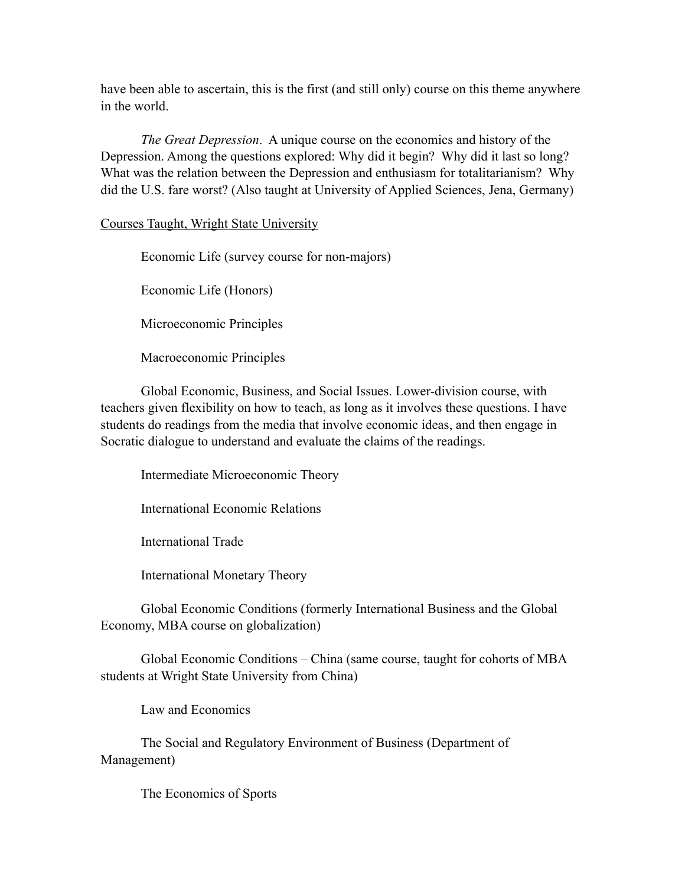have been able to ascertain, this is the first (and still only) course on this theme anywhere in the world.

*The Great Depression*. A unique course on the economics and history of the Depression. Among the questions explored: Why did it begin? Why did it last so long? What was the relation between the Depression and enthusiasm for totalitarianism? Why did the U.S. fare worst? (Also taught at University of Applied Sciences, Jena, Germany)

Courses Taught, Wright State University

Economic Life (survey course for non-majors)

Economic Life (Honors)

Microeconomic Principles

Macroeconomic Principles

 Global Economic, Business, and Social Issues. Lower-division course, with teachers given flexibility on how to teach, as long as it involves these questions. I have students do readings from the media that involve economic ideas, and then engage in Socratic dialogue to understand and evaluate the claims of the readings.

Intermediate Microeconomic Theory

International Economic Relations

International Trade

International Monetary Theory

 Global Economic Conditions (formerly International Business and the Global Economy, MBA course on globalization)

 Global Economic Conditions – China (same course, taught for cohorts of MBA students at Wright State University from China)

Law and Economics

 The Social and Regulatory Environment of Business (Department of Management)

The Economics of Sports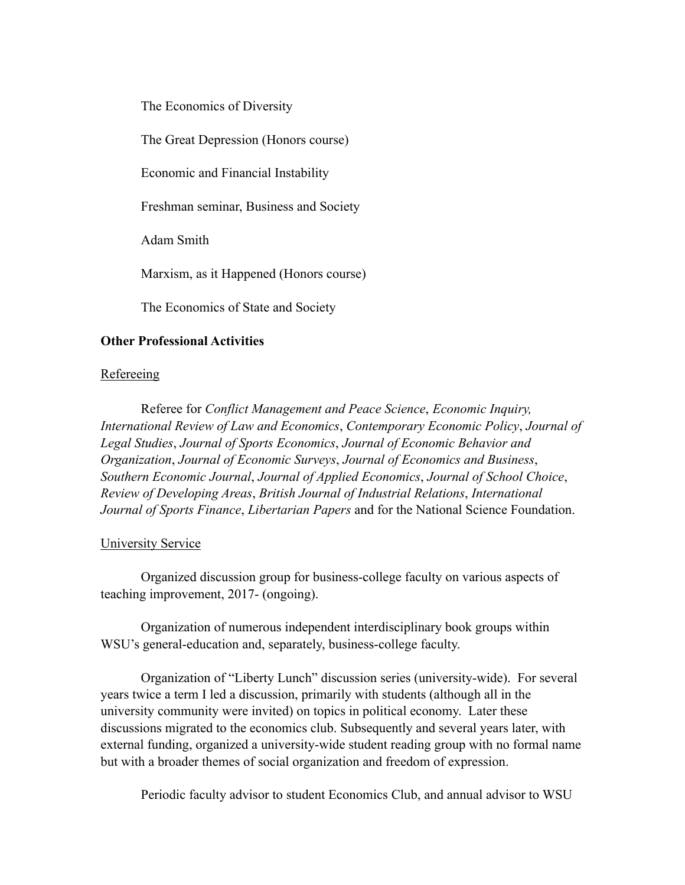The Economics of Diversity

The Great Depression (Honors course)

Economic and Financial Instability

Freshman seminar, Business and Society

Adam Smith

Marxism, as it Happened (Honors course)

The Economics of State and Society

# **Other Professional Activities**

# **Refereeing**

 Referee for *Conflict Management and Peace Science*, *Economic Inquiry, International Review of Law and Economics*, *Contemporary Economic Policy*, *Journal of Legal Studies*, *Journal of Sports Economics*, *Journal of Economic Behavior and Organization*, *Journal of Economic Surveys*, *Journal of Economics and Business*, *Southern Economic Journal*, *Journal of Applied Economics*, *Journal of School Choice*, *Review of Developing Areas*, *British Journal of Industrial Relations*, *International Journal of Sports Finance*, *Libertarian Papers* and for the National Science Foundation.

### University Service

 Organized discussion group for business-college faculty on various aspects of teaching improvement, 2017- (ongoing).

 Organization of numerous independent interdisciplinary book groups within WSU's general-education and, separately, business-college faculty.

 Organization of "Liberty Lunch" discussion series (university-wide). For several years twice a term I led a discussion, primarily with students (although all in the university community were invited) on topics in political economy. Later these discussions migrated to the economics club. Subsequently and several years later, with external funding, organized a university-wide student reading group with no formal name but with a broader themes of social organization and freedom of expression.

Periodic faculty advisor to student Economics Club, and annual advisor to WSU